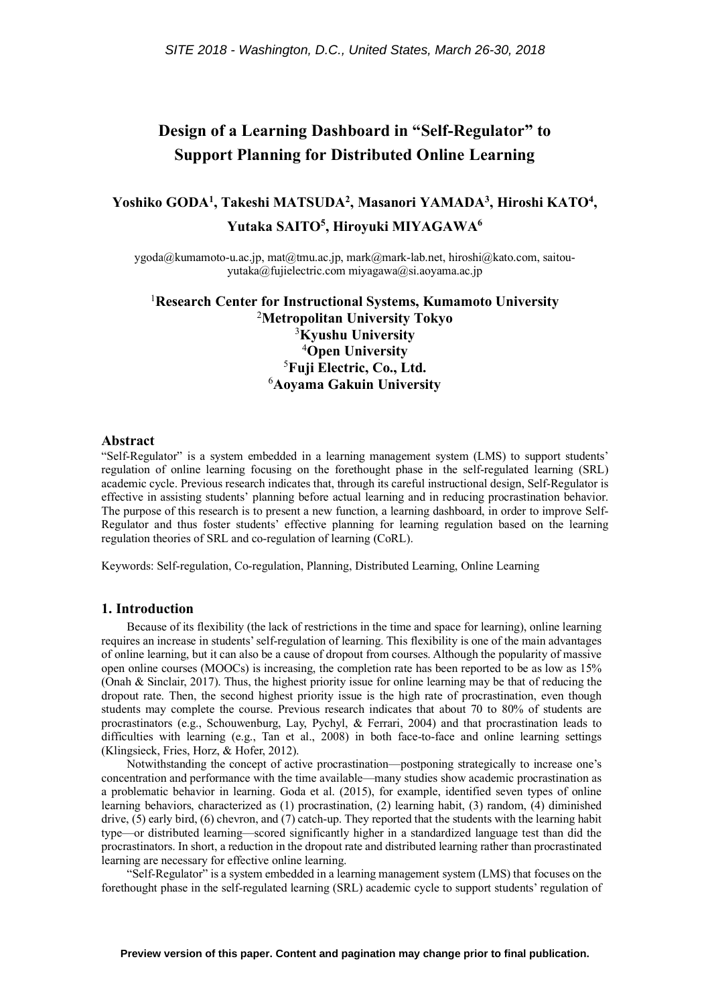# **Design of a Learning Dashboard in "Self-Regulator" to Support Planning for Distributed Online Learning**

## **Yoshiko GODA1 , Takeshi MATSUDA2, Masanori YAMADA3, Hiroshi KATO4 , Yutaka SAITO5 , Hiroyuki MIYAGAWA6**

ygoda@kumamoto-u.ac.jp, mat@tmu.ac.jp, mark@mark-lab.net, hiroshi@kato.com, saitouyutaka@fujielectric.com miyagawa@si.aoyama.ac.jp

## 1 **Research Center for Instructional Systems, Kumamoto University** <sup>2</sup>**Metropolitan University Tokyo** 3 **Kyushu University** <sup>4</sup>**Open University** 5 **Fuji Electric, Co., Ltd.** 6 **Aoyama Gakuin University**

### **Abstract**

"Self-Regulator" is a system embedded in a learning management system (LMS) to support students' regulation of online learning focusing on the forethought phase in the self-regulated learning (SRL) academic cycle. Previous research indicates that, through its careful instructional design, Self-Regulator is effective in assisting students' planning before actual learning and in reducing procrastination behavior. The purpose of this research is to present a new function, a learning dashboard, in order to improve Self-Regulator and thus foster students' effective planning for learning regulation based on the learning regulation theories of SRL and co-regulation of learning (CoRL).

Keywords: Self-regulation, Co-regulation, Planning, Distributed Learning, Online Learning

#### **1. Introduction**

Because of its flexibility (the lack of restrictions in the time and space for learning), online learning requires an increase in students' self-regulation of learning. This flexibility is one of the main advantages of online learning, but it can also be a cause of dropout from courses. Although the popularity of massive open online courses (MOOCs) is increasing, the completion rate has been reported to be as low as 15% (Onah & Sinclair, 2017). Thus, the highest priority issue for online learning may be that of reducing the dropout rate. Then, the second highest priority issue is the high rate of procrastination, even though students may complete the course. Previous research indicates that about 70 to 80% of students are procrastinators (e.g., Schouwenburg, Lay, Pychyl, & Ferrari, 2004) and that procrastination leads to difficulties with learning (e.g., Tan et al., 2008) in both face-to-face and online learning settings (Klingsieck, Fries, Horz, & Hofer, 2012).

Notwithstanding the concept of active procrastination—postponing strategically to increase one's concentration and performance with the time available—many studies show academic procrastination as a problematic behavior in learning. Goda et al. (2015), for example, identified seven types of online learning behaviors, characterized as (1) procrastination, (2) learning habit, (3) random, (4) diminished drive, (5) early bird, (6) chevron, and (7) catch-up. They reported that the students with the learning habit type—or distributed learning—scored significantly higher in a standardized language test than did the procrastinators. In short, a reduction in the dropout rate and distributed learning rather than procrastinated learning are necessary for effective online learning.

"Self-Regulator" is a system embedded in a learning management system (LMS) that focuses on the forethought phase in the self-regulated learning (SRL) academic cycle to support students' regulation of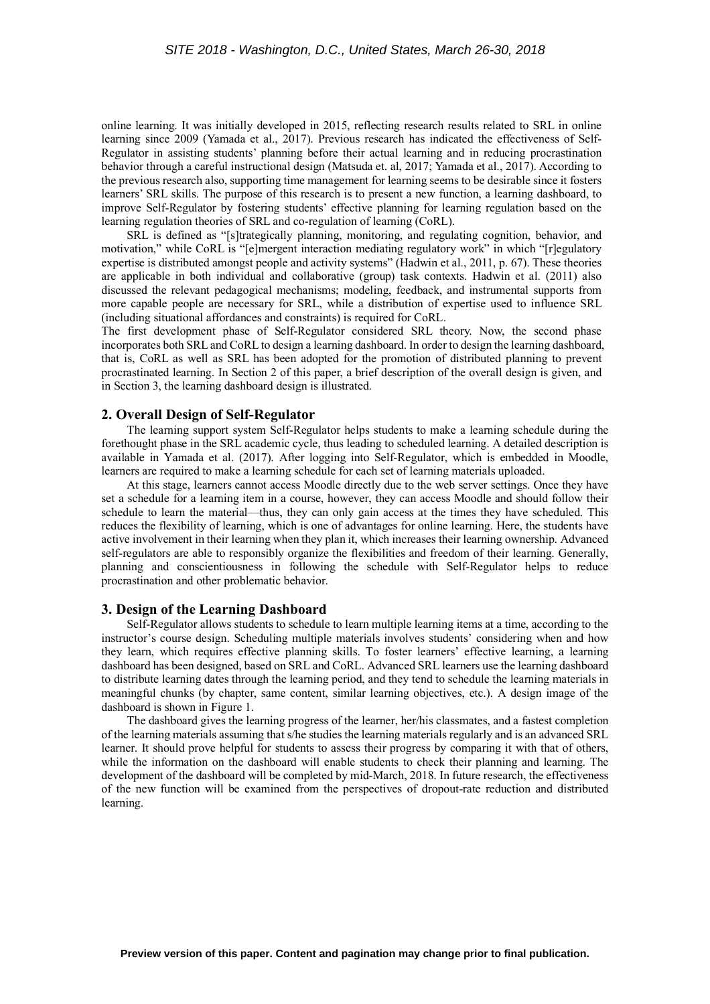online learning. It was initially developed in 2015, reflecting research results related to SRL in online learning since 2009 (Yamada et al., 2017). Previous research has indicated the effectiveness of Self-Regulator in assisting students' planning before their actual learning and in reducing procrastination behavior through a careful instructional design (Matsuda et. al, 2017; Yamada et al., 2017). According to the previous research also, supporting time management for learning seems to be desirable since it fosters learners' SRL skills. The purpose of this research is to present a new function, a learning dashboard, to improve Self-Regulator by fostering students' effective planning for learning regulation based on the learning regulation theories of SRL and co-regulation of learning (CoRL).

SRL is defined as "[s]trategically planning, monitoring, and regulating cognition, behavior, and motivation," while CoRL is "[e]mergent interaction mediating regulatory work" in which "[r]egulatory expertise is distributed amongst people and activity systems" (Hadwin et al., 2011, p. 67). These theories are applicable in both individual and collaborative (group) task contexts. Hadwin et al. (2011) also discussed the relevant pedagogical mechanisms; modeling, feedback, and instrumental supports from more capable people are necessary for SRL, while a distribution of expertise used to influence SRL (including situational affordances and constraints) is required for CoRL.

The first development phase of Self-Regulator considered SRL theory. Now, the second phase incorporates both SRL and CoRL to design a learning dashboard. In order to design the learning dashboard, that is, CoRL as well as SRL has been adopted for the promotion of distributed planning to prevent procrastinated learning. In Section 2 of this paper, a brief description of the overall design is given, and in Section 3, the learning dashboard design is illustrated.

#### **2. Overall Design of Self-Regulator**

The learning support system Self-Regulator helps students to make a learning schedule during the forethought phase in the SRL academic cycle, thus leading to scheduled learning. A detailed description is available in Yamada et al. (2017). After logging into Self-Regulator, which is embedded in Moodle, learners are required to make a learning schedule for each set of learning materials uploaded.

At this stage, learners cannot access Moodle directly due to the web server settings. Once they have set a schedule for a learning item in a course, however, they can access Moodle and should follow their schedule to learn the material—thus, they can only gain access at the times they have scheduled. This reduces the flexibility of learning, which is one of advantages for online learning. Here, the students have active involvement in their learning when they plan it, which increases their learning ownership. Advanced self-regulators are able to responsibly organize the flexibilities and freedom of their learning. Generally, planning and conscientiousness in following the schedule with Self-Regulator helps to reduce procrastination and other problematic behavior.

### **3. Design of the Learning Dashboard**

Self-Regulator allows students to schedule to learn multiple learning items at a time, according to the instructor's course design. Scheduling multiple materials involves students' considering when and how they learn, which requires effective planning skills. To foster learners' effective learning, a learning dashboard has been designed, based on SRL and CoRL. Advanced SRL learners use the learning dashboard to distribute learning dates through the learning period, and they tend to schedule the learning materials in meaningful chunks (by chapter, same content, similar learning objectives, etc.). A design image of the dashboard is shown in Figure 1.

The dashboard gives the learning progress of the learner, her/his classmates, and a fastest completion of the learning materials assuming that s/he studies the learning materials regularly and is an advanced SRL learner. It should prove helpful for students to assess their progress by comparing it with that of others, while the information on the dashboard will enable students to check their planning and learning. The development of the dashboard will be completed by mid-March, 2018. In future research, the effectiveness of the new function will be examined from the perspectives of dropout-rate reduction and distributed learning.